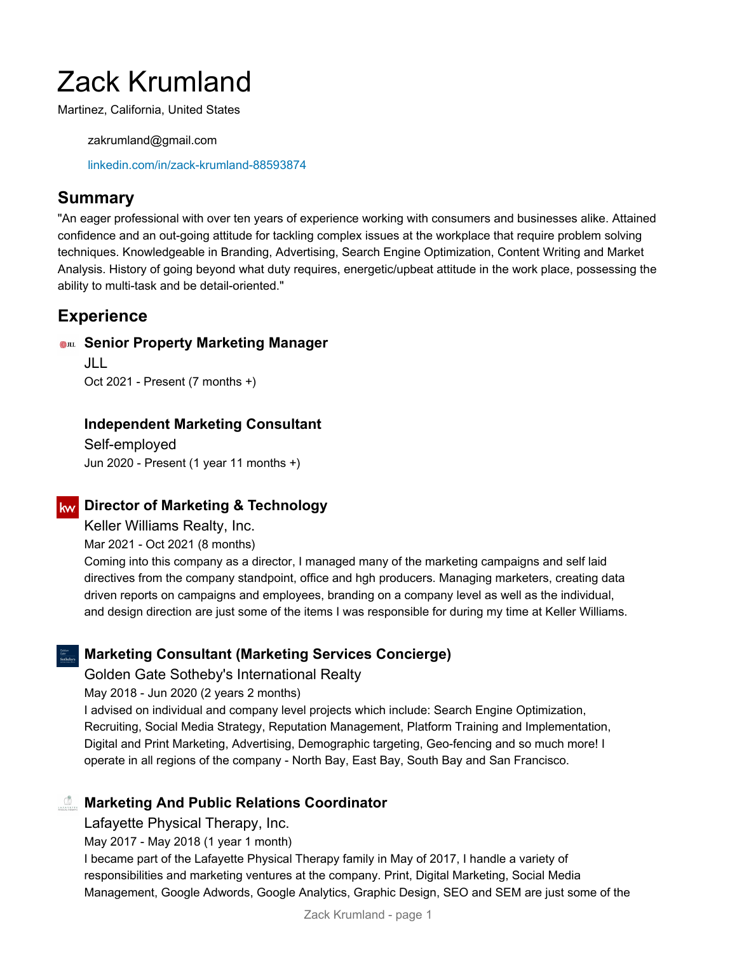# Zack Krumland

Martinez, California, United States

zakrumland@gmail.com

[linkedin.com/in/zack-krumland-88593874](https://www.linkedin.com/in/zack-krumland-88593874)

## **Summary**

"An eager professional with over ten years of experience working with consumers and businesses alike. Attained confidence and an out-going attitude for tackling complex issues at the workplace that require problem solving techniques. Knowledgeable in Branding, Advertising, Search Engine Optimization, Content Writing and Market Analysis. History of going beyond what duty requires, energetic/upbeat attitude in the work place, possessing the ability to multi-task and be detail-oriented."

# **Experience**

#### **Senior Property Marketing Manager**

JLL Oct 2021 - Present (7 months +)

#### **Independent Marketing Consultant**

Self-employed Jun 2020 - Present (1 year 11 months +)

## **Director of Marketing & Technology**

Keller Williams Realty, Inc.

Mar 2021 - Oct 2021 (8 months)

Coming into this company as a director, I managed many of the marketing campaigns and self laid directives from the company standpoint, office and hgh producers. Managing marketers, creating data driven reports on campaigns and employees, branding on a company level as well as the individual, and design direction are just some of the items I was responsible for during my time at Keller Williams.

## **Marketing Consultant (Marketing Services Concierge)**

#### Golden Gate Sotheby's International Realty

May 2018 - Jun 2020 (2 years 2 months)

I advised on individual and company level projects which include: Search Engine Optimization, Recruiting, Social Media Strategy, Reputation Management, Platform Training and Implementation, Digital and Print Marketing, Advertising, Demographic targeting, Geo-fencing and so much more! I operate in all regions of the company - North Bay, East Bay, South Bay and San Francisco.

## **Marketing And Public Relations Coordinator**

#### Lafayette Physical Therapy, Inc.

May 2017 - May 2018 (1 year 1 month)

I became part of the Lafayette Physical Therapy family in May of 2017, I handle a variety of responsibilities and marketing ventures at the company. Print, Digital Marketing, Social Media Management, Google Adwords, Google Analytics, Graphic Design, SEO and SEM are just some of the